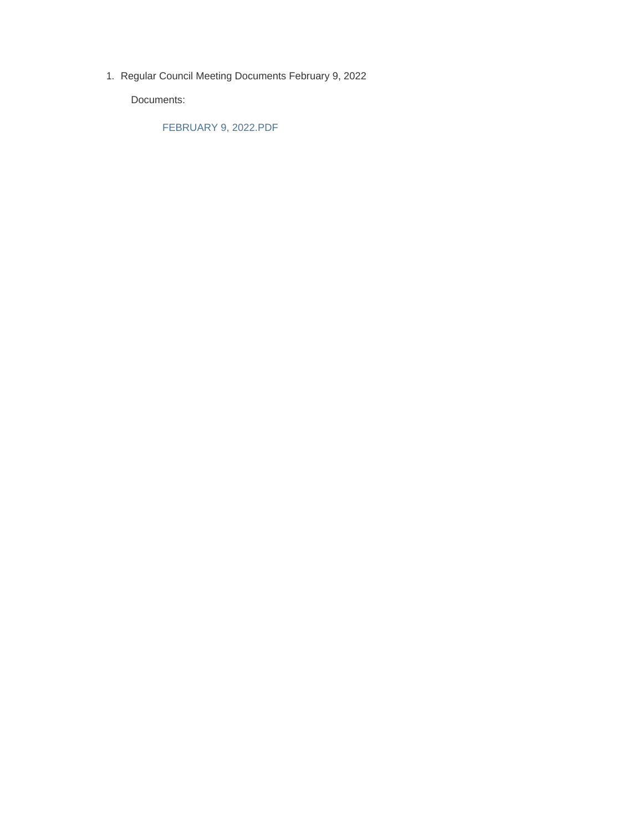1. Regular Council Meeting Documents February 9, 2022

Documents:

FEBRUARY 9, 2022.PDF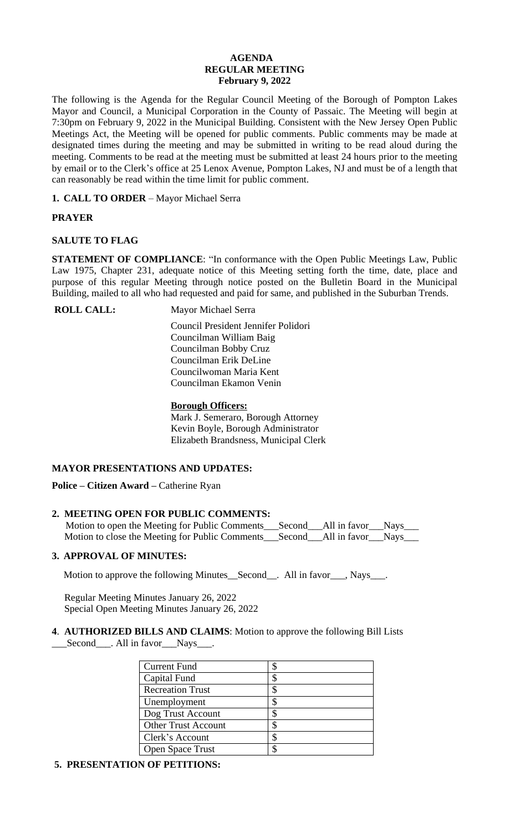## **AGENDA REGULAR MEETING February 9, 2022**

The following is the Agenda for the Regular Council Meeting of the Borough of Pompton Lakes Mayor and Council, a Municipal Corporation in the County of Passaic. The Meeting will begin at 7:30pm on February 9, 2022 in the Municipal Building. Consistent with the New Jersey Open Public Meetings Act, the Meeting will be opened for public comments. Public comments may be made at designated times during the meeting and may be submitted in writing to be read aloud during the meeting. Comments to be read at the meeting must be submitted at least 24 hours prior to the meeting by email or to the Clerk's office at 25 Lenox Avenue, Pompton Lakes, NJ and must be of a length that can reasonably be read within the time limit for public comment.

**1. CALL TO ORDER** – Mayor Michael Serra

# **PRAYER**

# **SALUTE TO FLAG**

**STATEMENT OF COMPLIANCE**: "In conformance with the Open Public Meetings Law, Public Law 1975, Chapter 231, adequate notice of this Meeting setting forth the time, date, place and purpose of this regular Meeting through notice posted on the Bulletin Board in the Municipal Building, mailed to all who had requested and paid for same, and published in the Suburban Trends.

**ROLL CALL:** Mayor Michael Serra

 Council President Jennifer Polidori Councilman William Baig Councilman Bobby Cruz Councilman Erik DeLine Councilwoman Maria Kent Councilman Ekamon Venin

## **Borough Officers:**

Mark J. Semeraro, Borough Attorney Kevin Boyle, Borough Administrator Elizabeth Brandsness, Municipal Clerk

# **MAYOR PRESENTATIONS AND UPDATES:**

**Police – Citizen Award –** Catherine Ryan

# **2. MEETING OPEN FOR PUBLIC COMMENTS:**

Motion to open the Meeting for Public Comments\_\_\_Second\_\_\_All in favor\_\_\_Nays\_\_\_ Motion to close the Meeting for Public Comments\_\_\_Second\_\_\_All in favor\_\_\_Nays\_\_\_

## **3. APPROVAL OF MINUTES:**

Motion to approve the following Minutes\_Second\_\_. All in favor\_\_\_, Nays\_\_\_.

 Regular Meeting Minutes January 26, 2022 Special Open Meeting Minutes January 26, 2022

#### **4**. **AUTHORIZED BILLS AND CLAIMS**: Motion to approve the following Bill Lists \_\_\_Second\_\_\_. All in favor\_\_\_Nays\_\_\_.

| <b>Current Fund</b>        |   |
|----------------------------|---|
|                            |   |
| Capital Fund               |   |
| <b>Recreation Trust</b>    |   |
| Unemployment               |   |
| Dog Trust Account          | S |
| <b>Other Trust Account</b> |   |
| Clerk's Account            |   |
| Open Space Trust           |   |

## **5. PRESENTATION OF PETITIONS:**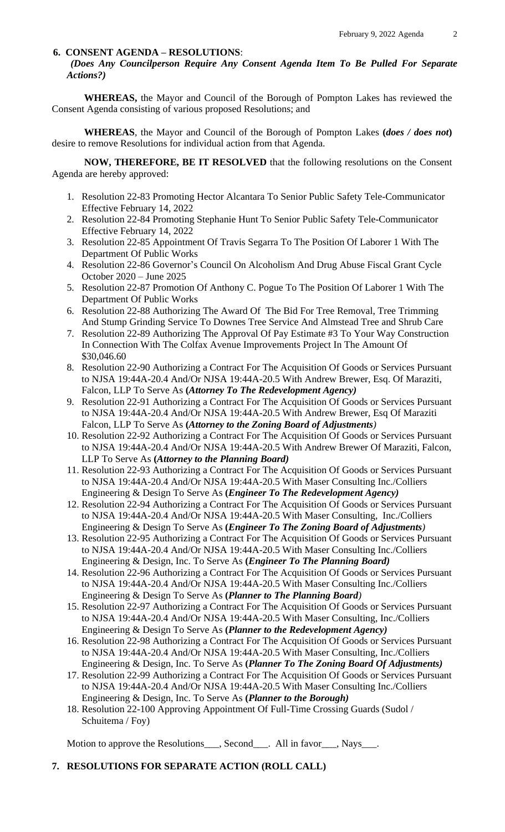#### **6. CONSENT AGENDA – RESOLUTIONS**:

*(Does Any Councilperson Require Any Consent Agenda Item To Be Pulled For Separate Actions?)*

**WHEREAS,** the Mayor and Council of the Borough of Pompton Lakes has reviewed the Consent Agenda consisting of various proposed Resolutions; and

**WHEREAS**, the Mayor and Council of the Borough of Pompton Lakes **(***does / does not***)** desire to remove Resolutions for individual action from that Agenda.

**NOW, THEREFORE, BE IT RESOLVED** that the following resolutions on the Consent Agenda are hereby approved:

- 1. Resolution 22-83 Promoting Hector Alcantara To Senior Public Safety Tele-Communicator Effective February 14, 2022
- 2. Resolution 22-84 Promoting Stephanie Hunt To Senior Public Safety Tele-Communicator Effective February 14, 2022
- 3. Resolution 22-85 Appointment Of Travis Segarra To The Position Of Laborer 1 With The Department Of Public Works
- 4. Resolution 22-86 Governor's Council On Alcoholism And Drug Abuse Fiscal Grant Cycle October 2020 – June 2025
- 5. Resolution 22-87 Promotion Of Anthony C. Pogue To The Position Of Laborer 1 With The Department Of Public Works
- 6. Resolution 22-88 Authorizing The Award Of The Bid For Tree Removal, Tree Trimming And Stump Grinding Service To Downes Tree Service And Almstead Tree and Shrub Care
- 7. Resolution 22-89 Authorizing The Approval Of Pay Estimate #3 To Your Way Construction In Connection With The Colfax Avenue Improvements Project In The Amount Of \$30,046.60
- 8. Resolution 22-90 Authorizing a Contract For The Acquisition Of Goods or Services Pursuant to NJSA 19:44A-20.4 And/Or NJSA 19:44A-20.5 With Andrew Brewer, Esq. Of Maraziti, Falcon, LLP To Serve As **(***Attorney To The Redevelopment Agency)*
- 9. Resolution 22-91 Authorizing a Contract For The Acquisition Of Goods or Services Pursuant to NJSA 19:44A-20.4 And/Or NJSA 19:44A-20.5 With Andrew Brewer, Esq Of Maraziti Falcon, LLP To Serve As **(***Attorney to the Zoning Board of Adjustments)*
- 10. Resolution 22-92 Authorizing a Contract For The Acquisition Of Goods or Services Pursuant to NJSA 19:44A-20.4 And/Or NJSA 19:44A-20.5 With Andrew Brewer Of Maraziti, Falcon, LLP To Serve As **(***Attorney to the Planning Board)*
- 11. Resolution 22-93 Authorizing a Contract For The Acquisition Of Goods or Services Pursuant to NJSA 19:44A-20.4 And/Or NJSA 19:44A-20.5 With Maser Consulting Inc./Colliers Engineering & Design To Serve As **(***Engineer To The Redevelopment Agency)*
- 12. Resolution 22-94 Authorizing a Contract For The Acquisition Of Goods or Services Pursuant to NJSA 19:44A-20.4 And/Or NJSA 19:44A-20.5 With Maser Consulting, Inc./Colliers Engineering & Design To Serve As **(***Engineer To The Zoning Board of Adjustments)*
- 13. Resolution 22-95 Authorizing a Contract For The Acquisition Of Goods or Services Pursuant to NJSA 19:44A-20.4 And/Or NJSA 19:44A-20.5 With Maser Consulting Inc./Colliers Engineering & Design, Inc. To Serve As **(***Engineer To The Planning Board)*
- 14. Resolution 22-96 Authorizing a Contract For The Acquisition Of Goods or Services Pursuant to NJSA 19:44A-20.4 And/Or NJSA 19:44A-20.5 With Maser Consulting Inc./Colliers Engineering & Design To Serve As **(***Planner to The Planning Board)*
- 15. Resolution 22-97 Authorizing a Contract For The Acquisition Of Goods or Services Pursuant to NJSA 19:44A-20.4 And/Or NJSA 19:44A-20.5 With Maser Consulting, Inc./Colliers Engineering & Design To Serve As **(***Planner to the Redevelopment Agency)*
- 16. Resolution 22-98 Authorizing a Contract For The Acquisition Of Goods or Services Pursuant to NJSA 19:44A-20.4 And/Or NJSA 19:44A-20.5 With Maser Consulting, Inc./Colliers Engineering & Design, Inc. To Serve As **(***Planner To The Zoning Board Of Adjustments)*
- 17. Resolution 22-99 Authorizing a Contract For The Acquisition Of Goods or Services Pursuant to NJSA 19:44A-20.4 And/Or NJSA 19:44A-20.5 With Maser Consulting Inc./Colliers Engineering & Design, Inc. To Serve As **(***Planner to the Borough)*
- 18. Resolution 22-100 Approving Appointment Of Full-Time Crossing Guards (Sudol / Schuitema / Foy)

Motion to approve the Resolutions<sub>\_\_\_\_</sub>, Second\_\_\_\_. All in favor\_\_\_\_, Nays\_\_\_\_.

### **7. RESOLUTIONS FOR SEPARATE ACTION (ROLL CALL)**